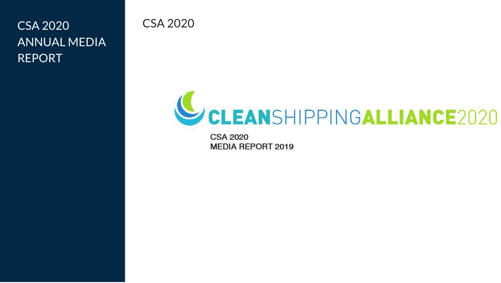CSA 2020 CSA 2020 ANNUAL MEDIA REPORT

# CLEANSHIPPINGALLIANCE2020

**CSA 2020 MEDIA REPORT 2019**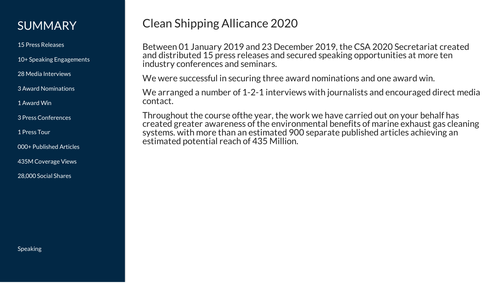#### SUMMARY

15 Press Releases

10+ Speaking Engagements

28 Media Interviews

3 Award Nominations

1 Award Win

3 Press Conferences

1 Press Tour

000+ Published Articles

435M Coverage Views

28,000 Social Shares

Clean Shipping Allicance 2020

Between 01 January 2019 and 23 December 2019, the CSA 2020 Secretariat created and distributed 15 press releases and secured speaking opportunities at more ten industry conferences and seminars.

We were successful in securing three award nominations and one award win.

We arranged a number of 1-2-1 interviews with journalists and encouraged direct media contact.

Throughout the course ofthe year, the work we have carried out on your behalf has created greater awareness of the environmental benefits of marine exhaust gas cleaning systems. with more than an estimated 900 separate published articles achieving an estimated potential reach of 435 Million.

Speaking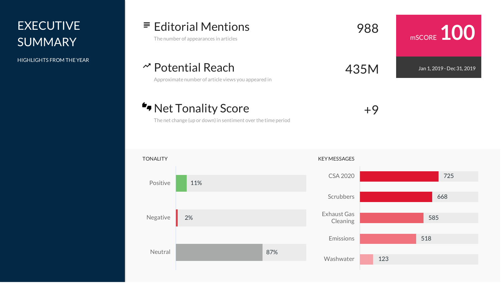### **EXECUTIVE SUMMARY**

HIGHLIGHTS FROM THEYEAR

## Editorial Mentions The number of appearances in articles <sup>988</sup>

Potential Reach Approximate number of article views you appeared in 435M

Net Tonality Score

The net change (up or down) in sentiment over the time period

TONALITY KEY MESSAGES Positive Negative Neutral 11% 2% 87% Exhaust Gas Washwater

#### CSA 2020 Scrubbers Cleaning Emissions 725 668 585 518 123

mSCORE **100**

Jan 1, 2019 - Dec 31, 2019

+9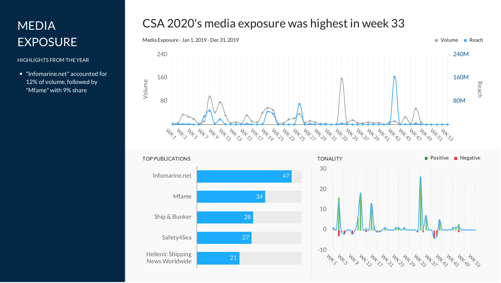### MEDIA EXPOSURE

#### HIGHLIGHTS FROM THEYEAR

"Infomarine.net" accounted for 12% of volume, followed by "Mfame" with 9% share

### CSA 2020's media exposure was highest in week 33





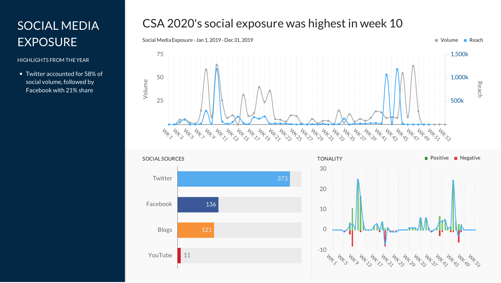### SOCIAL MEDIA EXPOSURE

#### HIGHLIGHTS FROM THEYEAR

Twitter accounted for 58% of social volume, followed by Facebook with 21% share

### CSA 2020's social exposure was highest in week 10





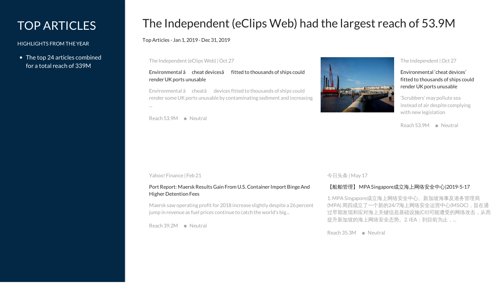### TOP ARTICLES

#### HIGHLIGHTS FROM THEYEAR

• The top 24 articles combined for a total reach of 339M

### The Independent (eClips Web) had the largest reach of 53.9M

Top Articles - Jan 1, 2019 - Dec 31, 2019

The Independent (eClips Web)|Oct 27

#### [Environmental](http://www.nla-eclipsweb.com/service/redirector/article/57329645.html) â cheat devicesâ fitted to thousands of ships could render UK ports unusable

Environmental â cheatâ devices fitted to thousands of ships could render some UK ports unusable by contaminating sediment and increasing

Reach 53.9M Neutral

...



#### The Independent |Oct 27

[Environmental](https://www.independent.co.uk/news/uk/home-news/shipping-uk-ports-environmental-cheat-devices-scrubbers-dredging-pollution-a9171476.html) 'cheat devices' fitted to thousands of ships could render UK ports unusable

'Scrubbers' may pollute sea instead of air despite complying with new legislation

Reach 53.9M Neutral

#### Yahoo! Finance | Feb 21

#### Port Report: Maersk Results Gain From U.S. Container Import Binge And Higher Detention Fees

Maersk saw operating profit for 2018 increase slightly despite a 26 percent jump in revenue as fuel prices continue to catch the world's big...

Reach 39.2M Neutral

#### 今日头条 |May 17

#### 【船舶管理】 MPASingapore[成立海上网络安全中心](http://toutiao.com/group/6691922114582151684/)|2019-5-17

1. MPASingapore成立海上网络安全中心。新加坡海事及港务管理局 (MPA)周四成立了一个新的24/7海上网络安全运营中心(MSOC),旨在通 过早期发现和应对海上关键信息基础设施(CII)可能遭受的网络攻击,从而 提升新加坡的海上网络安全态势。2. IEA: 到目前为止, ...

Reach 35.3M Neutral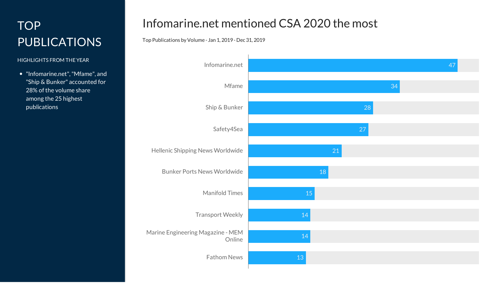### TOP PUBLICATIONS

#### HIGHLIGHTS FROM THEYEAR

"Infomarine.net","Mfame", and "Ship & Bunker" accounted for 28% of the volume share among the 25 highest publications

#### Infomarine.net mentioned CSA 2020 the most

#### Top Publications byVolume - Jan 1, 2019 - Dec 31, 2019

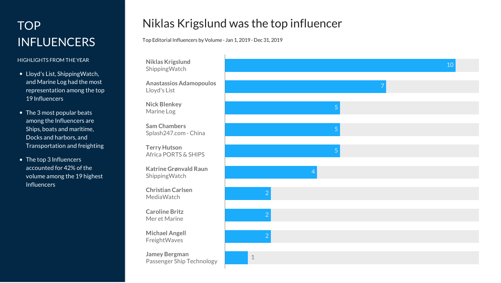### TOP **D INFLUENCERS**

#### HIGHLIGHTS FROM THE YEAR

- Lloyd's List, ShippingWatch, and Marine Log had the mos t representation among the top 19 Influencers
- The 3 most popular beats among the Influencers are Ships, boats and maritime, Docks and harbors, and Transportation and freightin g
- The top 3 Influencers a c c o u n t e d f o r 4 2 % o f t h e volume among the 19 highest Influencers

### Niklas Krigslund was the top influencer

Top Editorial Influencers by Volume - Jan 1, 2019 - Dec 31, 2019

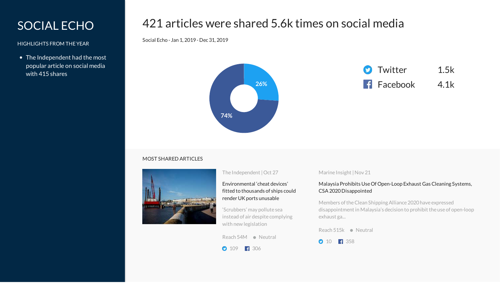### SOCIAL ECHO

HIGHLIGHTS FROM THEYEAR

The Independent had the most popular article on social media with 415 shares

#### 421 articles were shared 5.6k times on social media

Social Echo - Jan 1, 2019 - Dec 31, 2019



#### MOST SHARED ARTICLES



#### The Independent |Oct 27

#### [Environmental](https://www.independent.co.uk/news/uk/home-news/shipping-uk-ports-environmental-cheat-devices-scrubbers-dredging-pollution-a9171476.html) 'cheat devices' fitted to thousands of ships could render UK ports unusable

'Scrubbers' may pollute sea instead of air despite complying with new legislation

Reach 54M Neutral

0 109 1306

#### Marine Insight |Nov 21

#### Malaysia Prohibits UseOf Open-Loop Exhaust Gas Cleaning Systems, [CSA2020Disappointed](https://www.marineinsight.com/shipping-news/malaysia-prohibits-use-of-open-loop-exhaust-gas-cleaning-systems-csa-2020-disappointed/)

Members oftheClean ShippingAlliance 2020 have expressed disappointment in Malaysia's decision to prohibit the use of open-loop exhaust ga...

 $Reach 515k \bullet Neural$ 

0 10 1358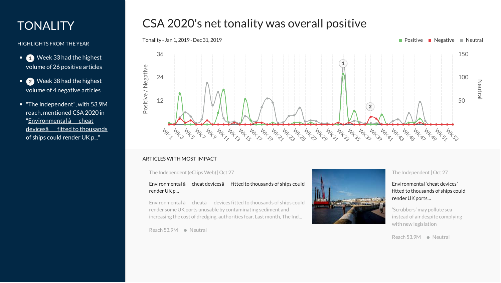### **TONALITY**

HIGHLIGHTS FROM THEYEAR

- Week 33 had the highest volume of 26 positive articles
- $\bullet$  Week 38 had the highest volume of 4 negative articles
- "The Independent", with 53.9M reach, mentioned CSA 2020 in ["Environmental](http://www.nla-eclipsweb.com/service/redirector/article/57329645.html) â cheat devicesâ fitted to thousands of ships could render UK p..."

### CSA 2020's net tonality was overall positive



#### ARTICLES WITH MOST IMPACT

The Independent (eClips Web)|Oct 27

[Environmental](http://www.nla-eclipsweb.com/service/redirector/article/57329645.html) â cheat devicesâ fitted to thousands of ships could render UKp...

Environmental â cheatâ devices fitted to thousands of ships could render some UK ports unusable by contaminating sediment and increasing the cost of dredging, authorities fear. Last month, The Ind...

Reach 53.9M · Neutral



#### The Independent |Oct 27

[Environmental](https://www.independent.co.uk/news/uk/home-news/shipping-uk-ports-environmental-cheat-devices-scrubbers-dredging-pollution-a9171476.html) 'cheat devices' fitted to thousands of ships could render UK ports...

'Scrubbers' may pollute sea instead of air despite complying with new legislation

Reach 53.9M Neutral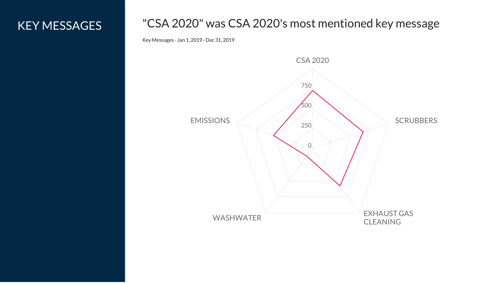### KEY MESSAGES

### "CSA 2020" was CSA 2020's most mentioned key message

Key Messages - Jan 1, 2019 - Dec 31, 2019

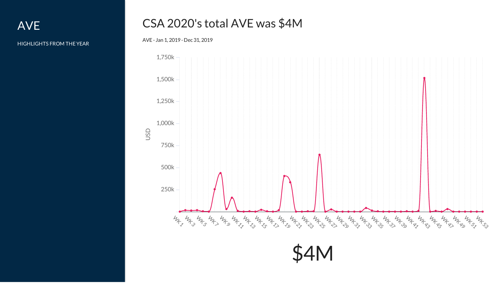AVE

HIGHLIGHTS FROM THEYEAR

### CSA 2020's total AVE was \$4M

AVE - Jan 1, 2019 - Dec 31, 2019

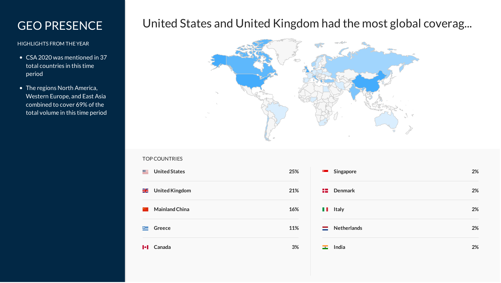### GEO PRESENCE

#### HIGHLIGHTS FROM THEYEAR

- CSA 2020 was mentioned in 37 total countries in this time period
- The regions North America, Western Europe, and East Asia combined to cover 69% of the total volume in this time period

### United States and United Kingdom had the most global coverag...



#### TOP COUNTRIES

**United States 25%** ▓▆ <u>Ж</u> **UnitedKingdom 21% MainlandChina 16% Greece 11%** 疆 **Canada 3%**

| Singapore                  | 2% |
|----------------------------|----|
| $\mathbf{E}$ Denmark       | 2% |
| Italy<br>H.                | 2% |
| $\blacksquare$ Netherlands | 2% |
| India<br>$-$               | 2% |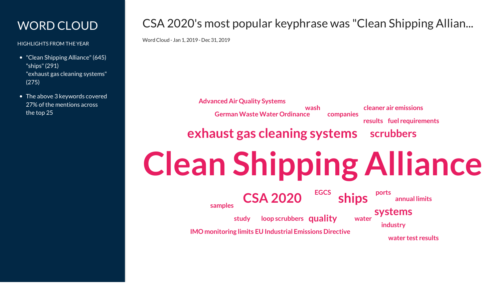### WORD CLOUD

HIGHLIGHTS FROM THEYEAR

- "Clean Shipping Alliance" (645) "ships"(291) "exhaust gas cleaning systems" (275)
- The above 3 keywords covered 27% of the mentions across the top 25

### CSA 2020's most popular keyphrase was "Clean Shipping Allian...

WordCloud - Jan 1, 2019 - Dec 31, 2019